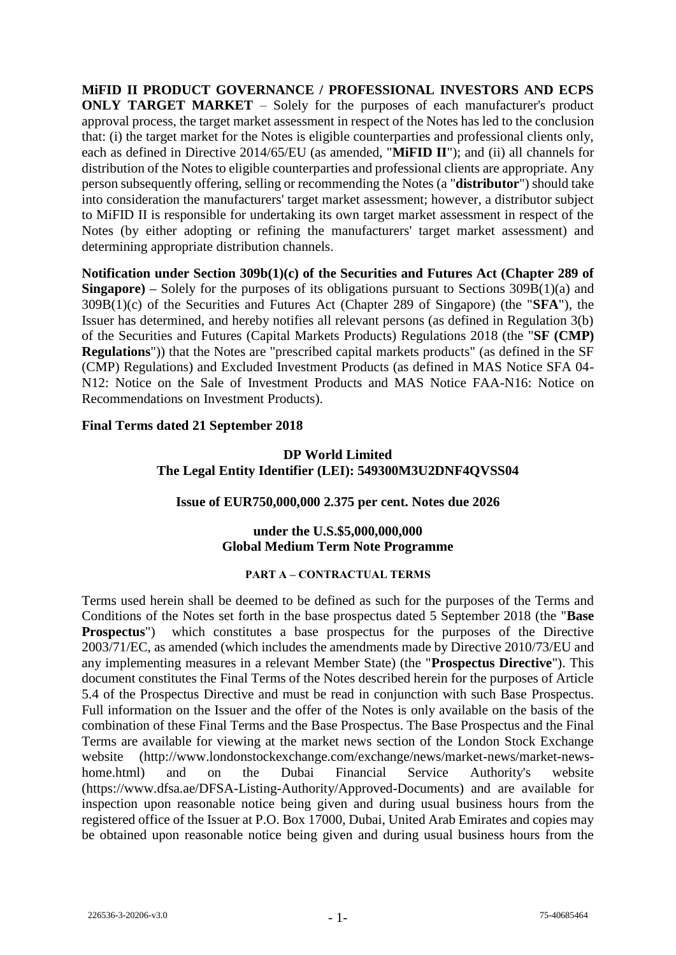**MiFID II PRODUCT GOVERNANCE / PROFESSIONAL INVESTORS AND ECPS ONLY TARGET MARKET** – Solely for the purposes of each manufacturer's product approval process, the target market assessment in respect of the Notes has led to the conclusion that: (i) the target market for the Notes is eligible counterparties and professional clients only, each as defined in Directive 2014/65/EU (as amended, "**MiFID II**"); and (ii) all channels for distribution of the Notes to eligible counterparties and professional clients are appropriate. Any person subsequently offering, selling or recommending the Notes (a "**distributor**") should take into consideration the manufacturers' target market assessment; however, a distributor subject to MiFID II is responsible for undertaking its own target market assessment in respect of the Notes (by either adopting or refining the manufacturers' target market assessment) and determining appropriate distribution channels.

**Notification under Section 309b(1)(c) of the Securities and Futures Act (Chapter 289 of Singapore) –** Solely for the purposes of its obligations pursuant to Sections 309B(1)(a) and 309B(1)(c) of the Securities and Futures Act (Chapter 289 of Singapore) (the "**SFA**"), the Issuer has determined, and hereby notifies all relevant persons (as defined in Regulation 3(b) of the Securities and Futures (Capital Markets Products) Regulations 2018 (the "**SF (CMP) Regulations**")) that the Notes are "prescribed capital markets products" (as defined in the SF (CMP) Regulations) and Excluded Investment Products (as defined in MAS Notice SFA 04- N12: Notice on the Sale of Investment Products and MAS Notice FAA-N16: Notice on Recommendations on Investment Products).

#### **Final Terms dated 21 September 2018**

## **DP World Limited The Legal Entity Identifier (LEI): 549300M3U2DNF4QVSS04**

#### **Issue of EUR750,000,000 2.375 per cent. Notes due 2026**

#### **under the U.S.\$5,000,000,000 Global Medium Term Note Programme**

#### **PART A – CONTRACTUAL TERMS**

Terms used herein shall be deemed to be defined as such for the purposes of the Terms and Conditions of the Notes set forth in the base prospectus dated 5 September 2018 (the "**Base Prospectus**") which constitutes a base prospectus for the purposes of the Directive 2003/71/EC, as amended (which includes the amendments made by Directive 2010/73/EU and any implementing measures in a relevant Member State) (the "**Prospectus Directive**"). This document constitutes the Final Terms of the Notes described herein for the purposes of Article 5.4 of the Prospectus Directive and must be read in conjunction with such Base Prospectus. Full information on the Issuer and the offer of the Notes is only available on the basis of the combination of these Final Terms and the Base Prospectus. The Base Prospectus and the Final Terms are available for viewing at the market news section of the London Stock Exchange website (http://www.londonstockexchange.com/exchange/news/market-news/market-newshome.html) and on the Dubai Financial Service Authority's website (https://www.dfsa.ae/DFSA-Listing-Authority/Approved-Documents) and are available for inspection upon reasonable notice being given and during usual business hours from the registered office of the Issuer at P.O. Box 17000, Dubai, United Arab Emirates and copies may be obtained upon reasonable notice being given and during usual business hours from the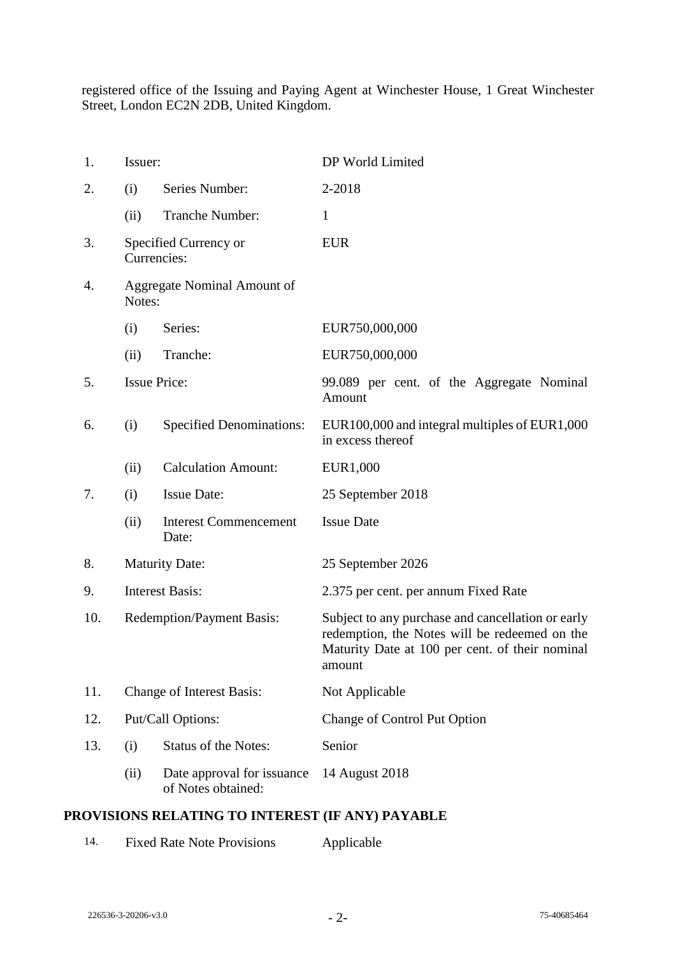registered office of the Issuing and Paying Agent at Winchester House, 1 Great Winchester Street, London EC2N 2DB, United Kingdom.

| 1.  | Issuer:                               |                                                  | DP World Limited                                                                                                                                                |
|-----|---------------------------------------|--------------------------------------------------|-----------------------------------------------------------------------------------------------------------------------------------------------------------------|
| 2.  | (i)                                   | Series Number:                                   | 2-2018                                                                                                                                                          |
|     | (ii)                                  | Tranche Number:                                  | $\mathbf{1}$                                                                                                                                                    |
| 3.  | Currencies:                           | Specified Currency or                            | <b>EUR</b>                                                                                                                                                      |
| 4.  | Aggregate Nominal Amount of<br>Notes: |                                                  |                                                                                                                                                                 |
|     | (i)                                   | Series:                                          | EUR750,000,000                                                                                                                                                  |
|     | (ii)                                  | Tranche:                                         | EUR750,000,000                                                                                                                                                  |
| 5.  | <b>Issue Price:</b>                   |                                                  | 99.089 per cent. of the Aggregate Nominal<br>Amount                                                                                                             |
| 6.  | (i)                                   | <b>Specified Denominations:</b>                  | EUR100,000 and integral multiples of EUR1,000<br>in excess thereof                                                                                              |
|     | (ii)                                  | <b>Calculation Amount:</b>                       | EUR1,000                                                                                                                                                        |
| 7.  | (i)                                   | <b>Issue Date:</b>                               | 25 September 2018                                                                                                                                               |
|     | (ii)                                  | <b>Interest Commencement</b><br>Date:            | <b>Issue Date</b>                                                                                                                                               |
| 8.  | <b>Maturity Date:</b>                 |                                                  | 25 September 2026                                                                                                                                               |
| 9.  | <b>Interest Basis:</b>                |                                                  | 2.375 per cent. per annum Fixed Rate                                                                                                                            |
| 10. | <b>Redemption/Payment Basis:</b>      |                                                  | Subject to any purchase and cancellation or early<br>redemption, the Notes will be redeemed on the<br>Maturity Date at 100 per cent. of their nominal<br>amount |
| 11. | <b>Change of Interest Basis:</b>      |                                                  | Not Applicable                                                                                                                                                  |
| 12. | Put/Call Options:                     |                                                  | Change of Control Put Option                                                                                                                                    |
| 13. | (i)                                   | <b>Status of the Notes:</b>                      | Senior                                                                                                                                                          |
|     | (ii)                                  | Date approval for issuance<br>of Notes obtained: | 14 August 2018                                                                                                                                                  |

# **PROVISIONS RELATING TO INTEREST (IF ANY) PAYABLE**

| 14. | <b>Fixed Rate Note Provisions</b> | Applicable |
|-----|-----------------------------------|------------|
|-----|-----------------------------------|------------|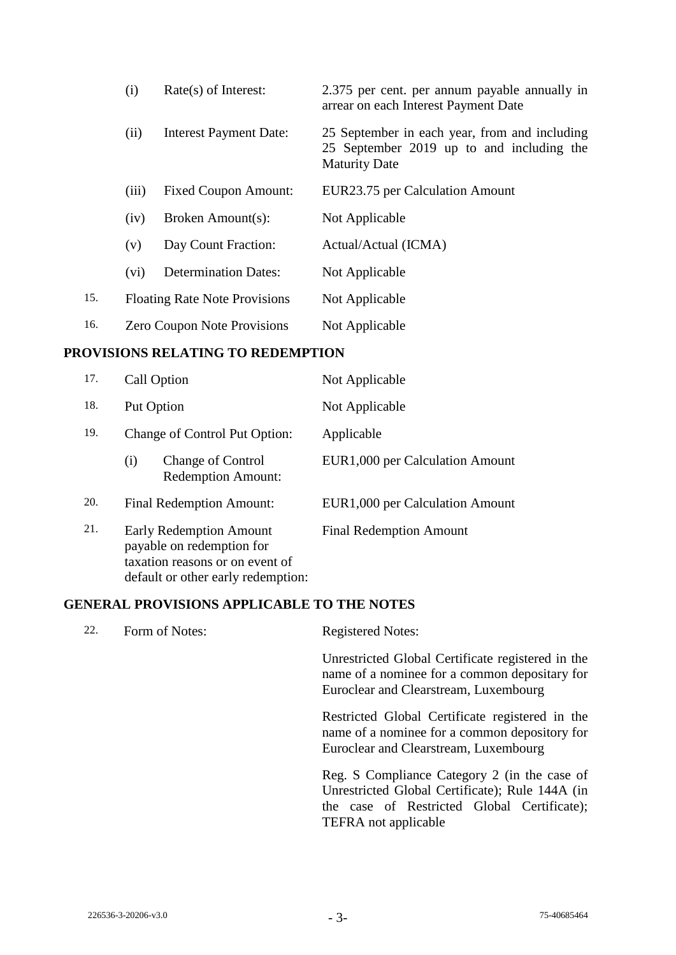|     | (i)   | $Rate(s)$ of Interest:               | 2.375 per cent. per annum payable annually in<br>arrear on each Interest Payment Date                              |
|-----|-------|--------------------------------------|--------------------------------------------------------------------------------------------------------------------|
|     | (ii)  | <b>Interest Payment Date:</b>        | 25 September in each year, from and including<br>25 September 2019 up to and including the<br><b>Maturity Date</b> |
|     | (iii) | <b>Fixed Coupon Amount:</b>          | EUR23.75 per Calculation Amount                                                                                    |
|     | (iv)  | Broken Amount(s):                    | Not Applicable                                                                                                     |
|     | (v)   | Day Count Fraction:                  | Actual/Actual (ICMA)                                                                                               |
|     | (vi)  | <b>Determination Dates:</b>          | Not Applicable                                                                                                     |
| 15. |       | <b>Floating Rate Note Provisions</b> | Not Applicable                                                                                                     |
| 16. |       | <b>Zero Coupon Note Provisions</b>   | Not Applicable                                                                                                     |

#### **PROVISIONS RELATING TO REDEMPTION**

| 17. | Call Option                                                                                                                          | Not Applicable                  |  |
|-----|--------------------------------------------------------------------------------------------------------------------------------------|---------------------------------|--|
| 18. | Put Option                                                                                                                           | Not Applicable                  |  |
| 19. | Change of Control Put Option:                                                                                                        | Applicable                      |  |
|     | <b>Change of Control</b><br>(i)<br><b>Redemption Amount:</b>                                                                         | EUR1,000 per Calculation Amount |  |
| 20. | <b>Final Redemption Amount:</b>                                                                                                      | EUR1,000 per Calculation Amount |  |
| 21. | <b>Early Redemption Amount</b><br>payable on redemption for<br>taxation reasons or on event of<br>default or other early redemption: | <b>Final Redemption Amount</b>  |  |

## **GENERAL PROVISIONS APPLICABLE TO THE NOTES**

| 22. | Form of Notes: | <b>Registered Notes:</b>                                                                                                                       |
|-----|----------------|------------------------------------------------------------------------------------------------------------------------------------------------|
|     |                | Unrestricted Global Certificate registered in the<br>name of a nominee for a common depositary for<br>Euroclear and Clearstream, Luxembourg    |
|     |                | Restricted Global Certificate registered in the<br>name of a nominee for a common depository for<br>Euroclear and Clearstream, Luxembourg      |
|     |                | Reg. S Compliance Category 2 (in the case of<br>Unrestricted Global Certificate); Rule 144A (in<br>the case of Restricted Global Certificate); |

TEFRA not applicable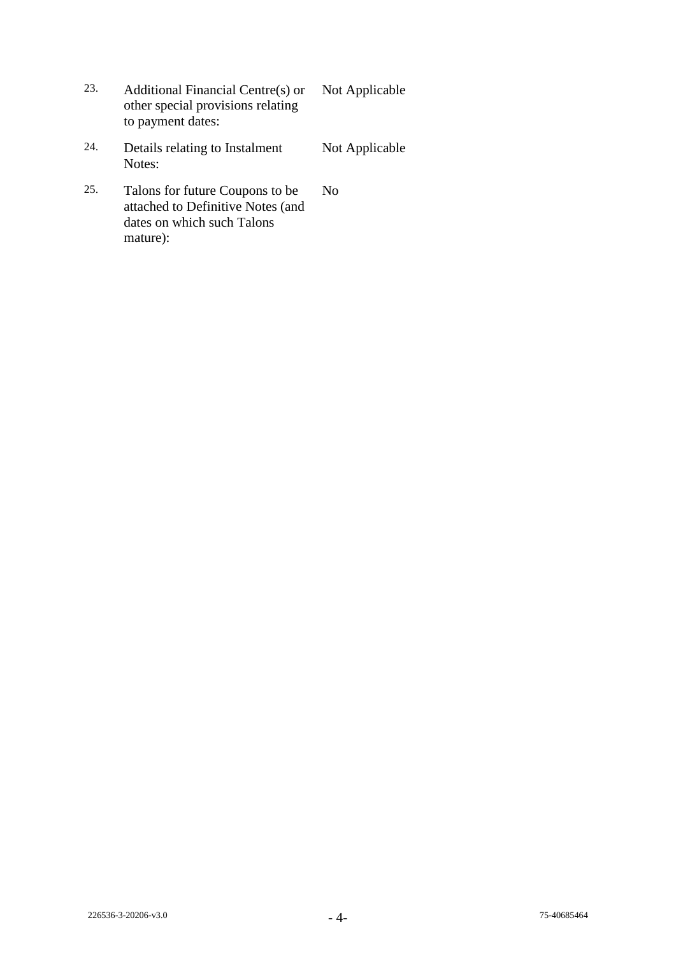- 23. Additional Financial Centre(s) or other special provisions relating to payment dates: Not Applicable
- 24. Details relating to Instalment Notes: Not Applicable
- 25. Talons for future Coupons to be attached to Definitive Notes (and dates on which such Talons mature): No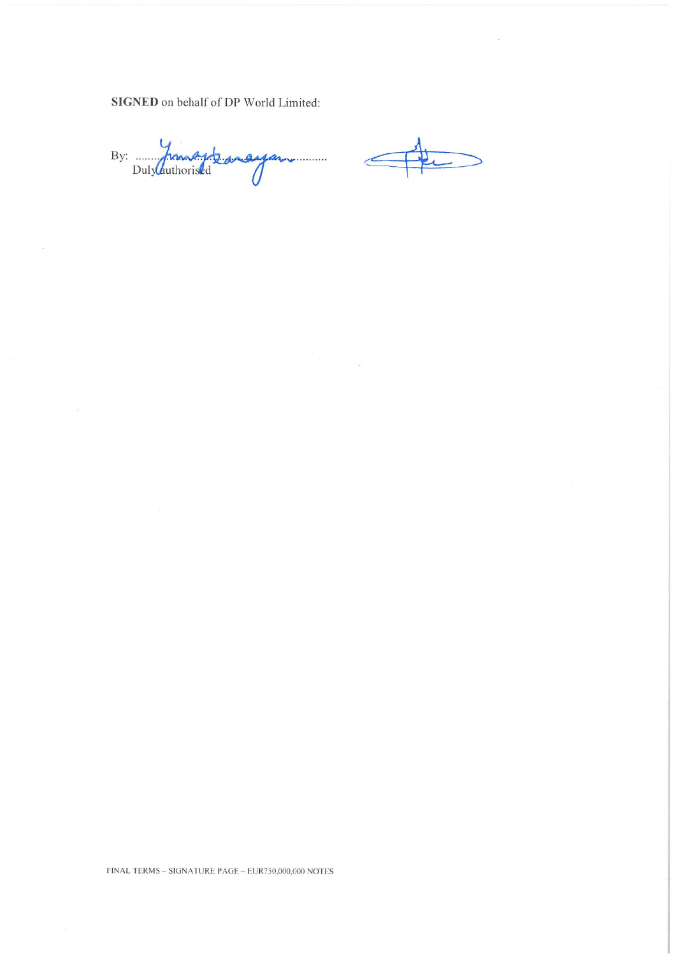**SIGNED** on behalf of DP World Limited:

By: Dulylauthoristed

FINAL TERMS - SIGNATURE PAGE - EUR750,000,000 NOTES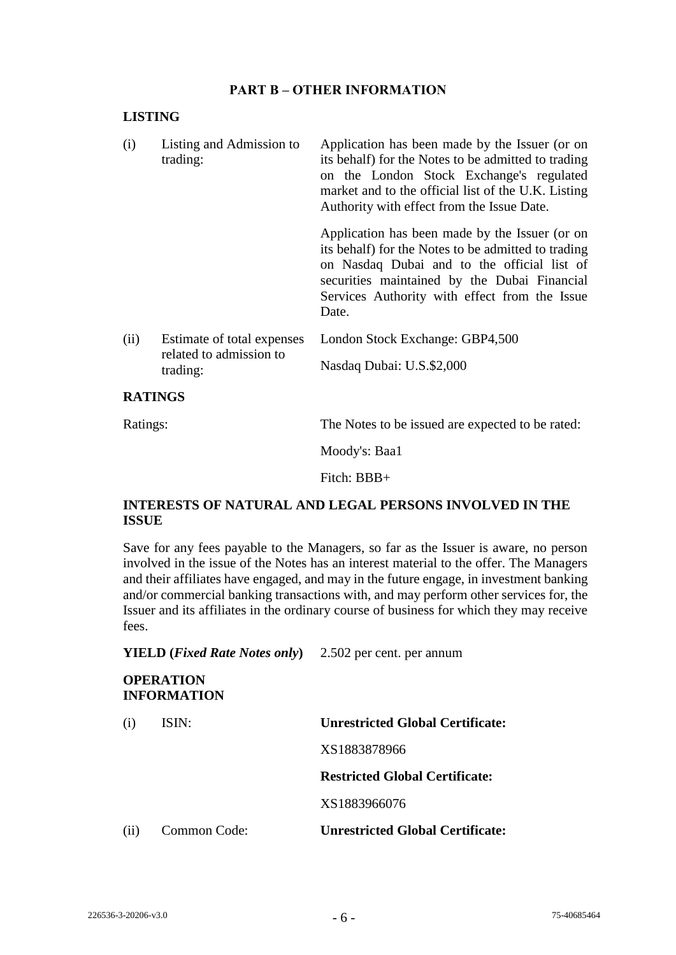### **PART B – OTHER INFORMATION**

#### **LISTING**

| (i)  | Listing and Admission to<br>trading:                  | Application has been made by the Issuer (or on<br>its behalf) for the Notes to be admitted to trading<br>on the London Stock Exchange's regulated<br>market and to the official list of the U.K. Listing<br>Authority with effect from the Issue Date.         |
|------|-------------------------------------------------------|----------------------------------------------------------------------------------------------------------------------------------------------------------------------------------------------------------------------------------------------------------------|
|      |                                                       | Application has been made by the Issuer (or on<br>its behalf) for the Notes to be admitted to trading<br>on Nasdaq Dubai and to the official list of<br>securities maintained by the Dubai Financial<br>Services Authority with effect from the Issue<br>Date. |
| (ii) | Estimate of total expenses<br>related to admission to | London Stock Exchange: GBP4,500                                                                                                                                                                                                                                |
|      | trading:                                              | Nasdaq Dubai: U.S.\$2,000                                                                                                                                                                                                                                      |

#### **RATINGS**

Ratings: The Notes to be issued are expected to be rated:

Moody's: Baa1

Fitch: BBB+

# **INTERESTS OF NATURAL AND LEGAL PERSONS INVOLVED IN THE ISSUE**

Save for any fees payable to the Managers, so far as the Issuer is aware, no person involved in the issue of the Notes has an interest material to the offer. The Managers and their affiliates have engaged, and may in the future engage, in investment banking and/or commercial banking transactions with, and may perform other services for, the Issuer and its affiliates in the ordinary course of business for which they may receive fees.

**YIELD (***Fixed Rate Notes only***)** 2.502 per cent. per annum

# **OPERATION INFORMATION** (i) ISIN: **Unrestricted Global Certificate:** XS1883878966 **Restricted Global Certificate:** XS1883966076 (ii) Common Code: **Unrestricted Global Certificate:**